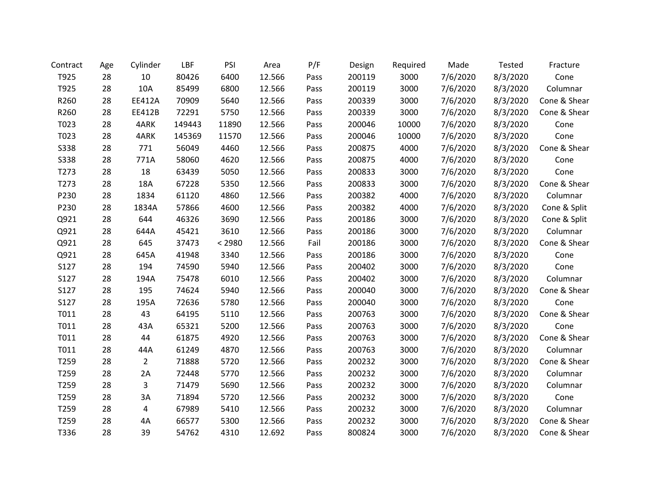| Contract         | Age | Cylinder       | LBF    | PSI    | Area   | P/F  | Design | Required | Made     | Tested   | Fracture     |
|------------------|-----|----------------|--------|--------|--------|------|--------|----------|----------|----------|--------------|
| T925             | 28  | 10             | 80426  | 6400   | 12.566 | Pass | 200119 | 3000     | 7/6/2020 | 8/3/2020 | Cone         |
| T925             | 28  | 10A            | 85499  | 6800   | 12.566 | Pass | 200119 | 3000     | 7/6/2020 | 8/3/2020 | Columnar     |
| R260             | 28  | EE412A         | 70909  | 5640   | 12.566 | Pass | 200339 | 3000     | 7/6/2020 | 8/3/2020 | Cone & Shear |
| R260             | 28  | EE412B         | 72291  | 5750   | 12.566 | Pass | 200339 | 3000     | 7/6/2020 | 8/3/2020 | Cone & Shear |
| T023             | 28  | 4ARK           | 149443 | 11890  | 12.566 | Pass | 200046 | 10000    | 7/6/2020 | 8/3/2020 | Cone         |
| T023             | 28  | 4ARK           | 145369 | 11570  | 12.566 | Pass | 200046 | 10000    | 7/6/2020 | 8/3/2020 | Cone         |
| S338             | 28  | 771            | 56049  | 4460   | 12.566 | Pass | 200875 | 4000     | 7/6/2020 | 8/3/2020 | Cone & Shear |
| <b>S338</b>      | 28  | 771A           | 58060  | 4620   | 12.566 | Pass | 200875 | 4000     | 7/6/2020 | 8/3/2020 | Cone         |
| T <sub>273</sub> | 28  | 18             | 63439  | 5050   | 12.566 | Pass | 200833 | 3000     | 7/6/2020 | 8/3/2020 | Cone         |
| T273             | 28  | 18A            | 67228  | 5350   | 12.566 | Pass | 200833 | 3000     | 7/6/2020 | 8/3/2020 | Cone & Shear |
| P230             | 28  | 1834           | 61120  | 4860   | 12.566 | Pass | 200382 | 4000     | 7/6/2020 | 8/3/2020 | Columnar     |
| P230             | 28  | 1834A          | 57866  | 4600   | 12.566 | Pass | 200382 | 4000     | 7/6/2020 | 8/3/2020 | Cone & Split |
| Q921             | 28  | 644            | 46326  | 3690   | 12.566 | Pass | 200186 | 3000     | 7/6/2020 | 8/3/2020 | Cone & Split |
| Q921             | 28  | 644A           | 45421  | 3610   | 12.566 | Pass | 200186 | 3000     | 7/6/2020 | 8/3/2020 | Columnar     |
| Q921             | 28  | 645            | 37473  | < 2980 | 12.566 | Fail | 200186 | 3000     | 7/6/2020 | 8/3/2020 | Cone & Shear |
| Q921             | 28  | 645A           | 41948  | 3340   | 12.566 | Pass | 200186 | 3000     | 7/6/2020 | 8/3/2020 | Cone         |
| S127             | 28  | 194            | 74590  | 5940   | 12.566 | Pass | 200402 | 3000     | 7/6/2020 | 8/3/2020 | Cone         |
| S127             | 28  | 194A           | 75478  | 6010   | 12.566 | Pass | 200402 | 3000     | 7/6/2020 | 8/3/2020 | Columnar     |
| S127             | 28  | 195            | 74624  | 5940   | 12.566 | Pass | 200040 | 3000     | 7/6/2020 | 8/3/2020 | Cone & Shear |
| S127             | 28  | 195A           | 72636  | 5780   | 12.566 | Pass | 200040 | 3000     | 7/6/2020 | 8/3/2020 | Cone         |
| T011             | 28  | 43             | 64195  | 5110   | 12.566 | Pass | 200763 | 3000     | 7/6/2020 | 8/3/2020 | Cone & Shear |
| T011             | 28  | 43A            | 65321  | 5200   | 12.566 | Pass | 200763 | 3000     | 7/6/2020 | 8/3/2020 | Cone         |
| T011             | 28  | 44             | 61875  | 4920   | 12.566 | Pass | 200763 | 3000     | 7/6/2020 | 8/3/2020 | Cone & Shear |
| T011             | 28  | 44A            | 61249  | 4870   | 12.566 | Pass | 200763 | 3000     | 7/6/2020 | 8/3/2020 | Columnar     |
| T259             | 28  | $\overline{2}$ | 71888  | 5720   | 12.566 | Pass | 200232 | 3000     | 7/6/2020 | 8/3/2020 | Cone & Shear |
| T259             | 28  | 2A             | 72448  | 5770   | 12.566 | Pass | 200232 | 3000     | 7/6/2020 | 8/3/2020 | Columnar     |
| T259             | 28  | 3              | 71479  | 5690   | 12.566 | Pass | 200232 | 3000     | 7/6/2020 | 8/3/2020 | Columnar     |
| T259             | 28  | 3A             | 71894  | 5720   | 12.566 | Pass | 200232 | 3000     | 7/6/2020 | 8/3/2020 | Cone         |
| T259             | 28  | 4              | 67989  | 5410   | 12.566 | Pass | 200232 | 3000     | 7/6/2020 | 8/3/2020 | Columnar     |
| T259             | 28  | 4A             | 66577  | 5300   | 12.566 | Pass | 200232 | 3000     | 7/6/2020 | 8/3/2020 | Cone & Shear |
| T336             | 28  | 39             | 54762  | 4310   | 12.692 | Pass | 800824 | 3000     | 7/6/2020 | 8/3/2020 | Cone & Shear |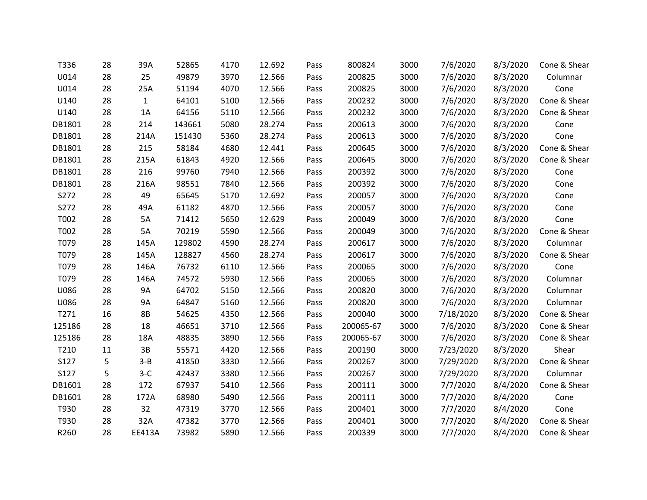| T336   | 28 | 39A           | 52865  | 4170 | 12.692 | Pass | 800824    | 3000 | 7/6/2020  | 8/3/2020 | Cone & Shear |
|--------|----|---------------|--------|------|--------|------|-----------|------|-----------|----------|--------------|
| U014   | 28 | 25            | 49879  | 3970 | 12.566 | Pass | 200825    | 3000 | 7/6/2020  | 8/3/2020 | Columnar     |
| U014   | 28 | 25A           | 51194  | 4070 | 12.566 | Pass | 200825    | 3000 | 7/6/2020  | 8/3/2020 | Cone         |
| U140   | 28 | $\mathbf{1}$  | 64101  | 5100 | 12.566 | Pass | 200232    | 3000 | 7/6/2020  | 8/3/2020 | Cone & Shear |
| U140   | 28 | 1A            | 64156  | 5110 | 12.566 | Pass | 200232    | 3000 | 7/6/2020  | 8/3/2020 | Cone & Shear |
| DB1801 | 28 | 214           | 143661 | 5080 | 28.274 | Pass | 200613    | 3000 | 7/6/2020  | 8/3/2020 | Cone         |
| DB1801 | 28 | 214A          | 151430 | 5360 | 28.274 | Pass | 200613    | 3000 | 7/6/2020  | 8/3/2020 | Cone         |
| DB1801 | 28 | 215           | 58184  | 4680 | 12.441 | Pass | 200645    | 3000 | 7/6/2020  | 8/3/2020 | Cone & Shear |
| DB1801 | 28 | 215A          | 61843  | 4920 | 12.566 | Pass | 200645    | 3000 | 7/6/2020  | 8/3/2020 | Cone & Shear |
| DB1801 | 28 | 216           | 99760  | 7940 | 12.566 | Pass | 200392    | 3000 | 7/6/2020  | 8/3/2020 | Cone         |
| DB1801 | 28 | 216A          | 98551  | 7840 | 12.566 | Pass | 200392    | 3000 | 7/6/2020  | 8/3/2020 | Cone         |
| S272   | 28 | 49            | 65645  | 5170 | 12.692 | Pass | 200057    | 3000 | 7/6/2020  | 8/3/2020 | Cone         |
| S272   | 28 | 49A           | 61182  | 4870 | 12.566 | Pass | 200057    | 3000 | 7/6/2020  | 8/3/2020 | Cone         |
| T002   | 28 | 5A            | 71412  | 5650 | 12.629 | Pass | 200049    | 3000 | 7/6/2020  | 8/3/2020 | Cone         |
| T002   | 28 | 5A            | 70219  | 5590 | 12.566 | Pass | 200049    | 3000 | 7/6/2020  | 8/3/2020 | Cone & Shear |
| T079   | 28 | 145A          | 129802 | 4590 | 28.274 | Pass | 200617    | 3000 | 7/6/2020  | 8/3/2020 | Columnar     |
| T079   | 28 | 145A          | 128827 | 4560 | 28.274 | Pass | 200617    | 3000 | 7/6/2020  | 8/3/2020 | Cone & Shear |
| T079   | 28 | 146A          | 76732  | 6110 | 12.566 | Pass | 200065    | 3000 | 7/6/2020  | 8/3/2020 | Cone         |
| T079   | 28 | 146A          | 74572  | 5930 | 12.566 | Pass | 200065    | 3000 | 7/6/2020  | 8/3/2020 | Columnar     |
| U086   | 28 | <b>9A</b>     | 64702  | 5150 | 12.566 | Pass | 200820    | 3000 | 7/6/2020  | 8/3/2020 | Columnar     |
| U086   | 28 | <b>9A</b>     | 64847  | 5160 | 12.566 | Pass | 200820    | 3000 | 7/6/2020  | 8/3/2020 | Columnar     |
| T271   | 16 | <b>8B</b>     | 54625  | 4350 | 12.566 | Pass | 200040    | 3000 | 7/18/2020 | 8/3/2020 | Cone & Shear |
| 125186 | 28 | 18            | 46651  | 3710 | 12.566 | Pass | 200065-67 | 3000 | 7/6/2020  | 8/3/2020 | Cone & Shear |
| 125186 | 28 | 18A           | 48835  | 3890 | 12.566 | Pass | 200065-67 | 3000 | 7/6/2020  | 8/3/2020 | Cone & Shear |
| T210   | 11 | 3B            | 55571  | 4420 | 12.566 | Pass | 200190    | 3000 | 7/23/2020 | 8/3/2020 | Shear        |
| S127   | 5  | $3 - B$       | 41850  | 3330 | 12.566 | Pass | 200267    | 3000 | 7/29/2020 | 8/3/2020 | Cone & Shear |
| S127   | 5  | $3-C$         | 42437  | 3380 | 12.566 | Pass | 200267    | 3000 | 7/29/2020 | 8/3/2020 | Columnar     |
| DB1601 | 28 | 172           | 67937  | 5410 | 12.566 | Pass | 200111    | 3000 | 7/7/2020  | 8/4/2020 | Cone & Shear |
| DB1601 | 28 | 172A          | 68980  | 5490 | 12.566 | Pass | 200111    | 3000 | 7/7/2020  | 8/4/2020 | Cone         |
| T930   | 28 | 32            | 47319  | 3770 | 12.566 | Pass | 200401    | 3000 | 7/7/2020  | 8/4/2020 | Cone         |
| T930   | 28 | 32A           | 47382  | 3770 | 12.566 | Pass | 200401    | 3000 | 7/7/2020  | 8/4/2020 | Cone & Shear |
| R260   | 28 | <b>EE413A</b> | 73982  | 5890 | 12.566 | Pass | 200339    | 3000 | 7/7/2020  | 8/4/2020 | Cone & Shear |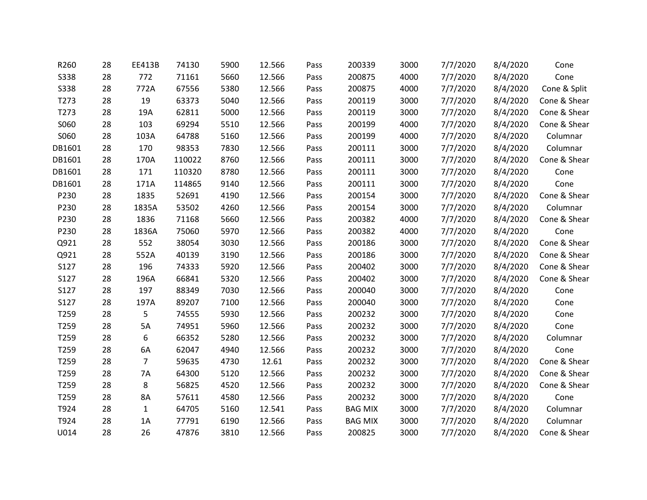| R260        | 28 | <b>EE413B</b>  | 74130  | 5900 | 12.566 | Pass | 200339         | 3000 | 7/7/2020 | 8/4/2020 | Cone         |
|-------------|----|----------------|--------|------|--------|------|----------------|------|----------|----------|--------------|
| <b>S338</b> | 28 | 772            | 71161  | 5660 | 12.566 | Pass | 200875         | 4000 | 7/7/2020 | 8/4/2020 | Cone         |
| <b>S338</b> | 28 | 772A           | 67556  | 5380 | 12.566 | Pass | 200875         | 4000 | 7/7/2020 | 8/4/2020 | Cone & Split |
| T273        | 28 | 19             | 63373  | 5040 | 12.566 | Pass | 200119         | 3000 | 7/7/2020 | 8/4/2020 | Cone & Shear |
| T273        | 28 | 19A            | 62811  | 5000 | 12.566 | Pass | 200119         | 3000 | 7/7/2020 | 8/4/2020 | Cone & Shear |
| S060        | 28 | 103            | 69294  | 5510 | 12.566 | Pass | 200199         | 4000 | 7/7/2020 | 8/4/2020 | Cone & Shear |
| S060        | 28 | 103A           | 64788  | 5160 | 12.566 | Pass | 200199         | 4000 | 7/7/2020 | 8/4/2020 | Columnar     |
| DB1601      | 28 | 170            | 98353  | 7830 | 12.566 | Pass | 200111         | 3000 | 7/7/2020 | 8/4/2020 | Columnar     |
| DB1601      | 28 | 170A           | 110022 | 8760 | 12.566 | Pass | 200111         | 3000 | 7/7/2020 | 8/4/2020 | Cone & Shear |
| DB1601      | 28 | 171            | 110320 | 8780 | 12.566 | Pass | 200111         | 3000 | 7/7/2020 | 8/4/2020 | Cone         |
| DB1601      | 28 | 171A           | 114865 | 9140 | 12.566 | Pass | 200111         | 3000 | 7/7/2020 | 8/4/2020 | Cone         |
| P230        | 28 | 1835           | 52691  | 4190 | 12.566 | Pass | 200154         | 3000 | 7/7/2020 | 8/4/2020 | Cone & Shear |
| P230        | 28 | 1835A          | 53502  | 4260 | 12.566 | Pass | 200154         | 3000 | 7/7/2020 | 8/4/2020 | Columnar     |
| P230        | 28 | 1836           | 71168  | 5660 | 12.566 | Pass | 200382         | 4000 | 7/7/2020 | 8/4/2020 | Cone & Shear |
| P230        | 28 | 1836A          | 75060  | 5970 | 12.566 | Pass | 200382         | 4000 | 7/7/2020 | 8/4/2020 | Cone         |
| Q921        | 28 | 552            | 38054  | 3030 | 12.566 | Pass | 200186         | 3000 | 7/7/2020 | 8/4/2020 | Cone & Shear |
| Q921        | 28 | 552A           | 40139  | 3190 | 12.566 | Pass | 200186         | 3000 | 7/7/2020 | 8/4/2020 | Cone & Shear |
| S127        | 28 | 196            | 74333  | 5920 | 12.566 | Pass | 200402         | 3000 | 7/7/2020 | 8/4/2020 | Cone & Shear |
| S127        | 28 | 196A           | 66841  | 5320 | 12.566 | Pass | 200402         | 3000 | 7/7/2020 | 8/4/2020 | Cone & Shear |
| S127        | 28 | 197            | 88349  | 7030 | 12.566 | Pass | 200040         | 3000 | 7/7/2020 | 8/4/2020 | Cone         |
| S127        | 28 | 197A           | 89207  | 7100 | 12.566 | Pass | 200040         | 3000 | 7/7/2020 | 8/4/2020 | Cone         |
| T259        | 28 | 5              | 74555  | 5930 | 12.566 | Pass | 200232         | 3000 | 7/7/2020 | 8/4/2020 | Cone         |
| T259        | 28 | 5A             | 74951  | 5960 | 12.566 | Pass | 200232         | 3000 | 7/7/2020 | 8/4/2020 | Cone         |
| T259        | 28 | 6              | 66352  | 5280 | 12.566 | Pass | 200232         | 3000 | 7/7/2020 | 8/4/2020 | Columnar     |
| T259        | 28 | 6A             | 62047  | 4940 | 12.566 | Pass | 200232         | 3000 | 7/7/2020 | 8/4/2020 | Cone         |
| T259        | 28 | $\overline{7}$ | 59635  | 4730 | 12.61  | Pass | 200232         | 3000 | 7/7/2020 | 8/4/2020 | Cone & Shear |
| T259        | 28 | <b>7A</b>      | 64300  | 5120 | 12.566 | Pass | 200232         | 3000 | 7/7/2020 | 8/4/2020 | Cone & Shear |
| T259        | 28 | 8              | 56825  | 4520 | 12.566 | Pass | 200232         | 3000 | 7/7/2020 | 8/4/2020 | Cone & Shear |
| T259        | 28 | 8A             | 57611  | 4580 | 12.566 | Pass | 200232         | 3000 | 7/7/2020 | 8/4/2020 | Cone         |
| T924        | 28 | $\mathbf{1}$   | 64705  | 5160 | 12.541 | Pass | <b>BAG MIX</b> | 3000 | 7/7/2020 | 8/4/2020 | Columnar     |
| T924        | 28 | 1A             | 77791  | 6190 | 12.566 | Pass | <b>BAG MIX</b> | 3000 | 7/7/2020 | 8/4/2020 | Columnar     |
| U014        | 28 | 26             | 47876  | 3810 | 12.566 | Pass | 200825         | 3000 | 7/7/2020 | 8/4/2020 | Cone & Shear |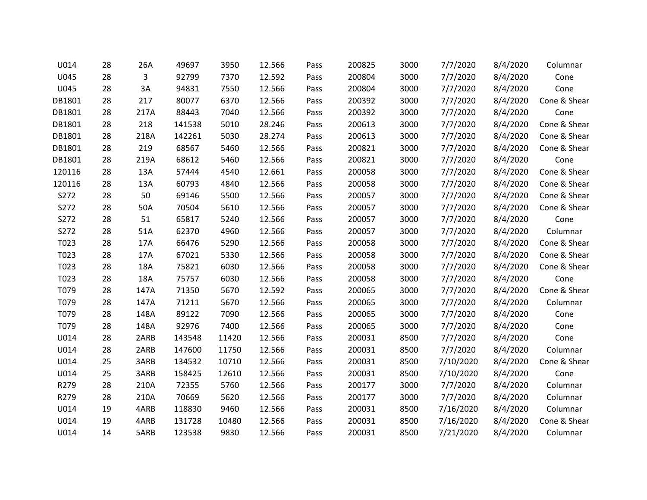| U014   | 28 | 26A        | 49697  | 3950  | 12.566 | Pass | 200825 | 3000 | 7/7/2020  | 8/4/2020 | Columnar     |
|--------|----|------------|--------|-------|--------|------|--------|------|-----------|----------|--------------|
| U045   | 28 | 3          | 92799  | 7370  | 12.592 | Pass | 200804 | 3000 | 7/7/2020  | 8/4/2020 | Cone         |
| U045   | 28 | 3A         | 94831  | 7550  | 12.566 | Pass | 200804 | 3000 | 7/7/2020  | 8/4/2020 | Cone         |
| DB1801 | 28 | 217        | 80077  | 6370  | 12.566 | Pass | 200392 | 3000 | 7/7/2020  | 8/4/2020 | Cone & Shear |
| DB1801 | 28 | 217A       | 88443  | 7040  | 12.566 | Pass | 200392 | 3000 | 7/7/2020  | 8/4/2020 | Cone         |
| DB1801 | 28 | 218        | 141538 | 5010  | 28.246 | Pass | 200613 | 3000 | 7/7/2020  | 8/4/2020 | Cone & Shear |
| DB1801 | 28 | 218A       | 142261 | 5030  | 28.274 | Pass | 200613 | 3000 | 7/7/2020  | 8/4/2020 | Cone & Shear |
| DB1801 | 28 | 219        | 68567  | 5460  | 12.566 | Pass | 200821 | 3000 | 7/7/2020  | 8/4/2020 | Cone & Shear |
| DB1801 | 28 | 219A       | 68612  | 5460  | 12.566 | Pass | 200821 | 3000 | 7/7/2020  | 8/4/2020 | Cone         |
| 120116 | 28 | 13A        | 57444  | 4540  | 12.661 | Pass | 200058 | 3000 | 7/7/2020  | 8/4/2020 | Cone & Shear |
| 120116 | 28 | 13A        | 60793  | 4840  | 12.566 | Pass | 200058 | 3000 | 7/7/2020  | 8/4/2020 | Cone & Shear |
| S272   | 28 | 50         | 69146  | 5500  | 12.566 | Pass | 200057 | 3000 | 7/7/2020  | 8/4/2020 | Cone & Shear |
| S272   | 28 | 50A        | 70504  | 5610  | 12.566 | Pass | 200057 | 3000 | 7/7/2020  | 8/4/2020 | Cone & Shear |
| S272   | 28 | 51         | 65817  | 5240  | 12.566 | Pass | 200057 | 3000 | 7/7/2020  | 8/4/2020 | Cone         |
| S272   | 28 | 51A        | 62370  | 4960  | 12.566 | Pass | 200057 | 3000 | 7/7/2020  | 8/4/2020 | Columnar     |
| T023   | 28 | 17A        | 66476  | 5290  | 12.566 | Pass | 200058 | 3000 | 7/7/2020  | 8/4/2020 | Cone & Shear |
| T023   | 28 | 17A        | 67021  | 5330  | 12.566 | Pass | 200058 | 3000 | 7/7/2020  | 8/4/2020 | Cone & Shear |
| T023   | 28 | <b>18A</b> | 75821  | 6030  | 12.566 | Pass | 200058 | 3000 | 7/7/2020  | 8/4/2020 | Cone & Shear |
| T023   | 28 | 18A        | 75757  | 6030  | 12.566 | Pass | 200058 | 3000 | 7/7/2020  | 8/4/2020 | Cone         |
| T079   | 28 | 147A       | 71350  | 5670  | 12.592 | Pass | 200065 | 3000 | 7/7/2020  | 8/4/2020 | Cone & Shear |
| T079   | 28 | 147A       | 71211  | 5670  | 12.566 | Pass | 200065 | 3000 | 7/7/2020  | 8/4/2020 | Columnar     |
| T079   | 28 | 148A       | 89122  | 7090  | 12.566 | Pass | 200065 | 3000 | 7/7/2020  | 8/4/2020 | Cone         |
| T079   | 28 | 148A       | 92976  | 7400  | 12.566 | Pass | 200065 | 3000 | 7/7/2020  | 8/4/2020 | Cone         |
| U014   | 28 | 2ARB       | 143548 | 11420 | 12.566 | Pass | 200031 | 8500 | 7/7/2020  | 8/4/2020 | Cone         |
| U014   | 28 | 2ARB       | 147600 | 11750 | 12.566 | Pass | 200031 | 8500 | 7/7/2020  | 8/4/2020 | Columnar     |
| U014   | 25 | 3ARB       | 134532 | 10710 | 12.566 | Pass | 200031 | 8500 | 7/10/2020 | 8/4/2020 | Cone & Shear |
| U014   | 25 | 3ARB       | 158425 | 12610 | 12.566 | Pass | 200031 | 8500 | 7/10/2020 | 8/4/2020 | Cone         |
| R279   | 28 | 210A       | 72355  | 5760  | 12.566 | Pass | 200177 | 3000 | 7/7/2020  | 8/4/2020 | Columnar     |
| R279   | 28 | 210A       | 70669  | 5620  | 12.566 | Pass | 200177 | 3000 | 7/7/2020  | 8/4/2020 | Columnar     |
| U014   | 19 | 4ARB       | 118830 | 9460  | 12.566 | Pass | 200031 | 8500 | 7/16/2020 | 8/4/2020 | Columnar     |
| U014   | 19 | 4ARB       | 131728 | 10480 | 12.566 | Pass | 200031 | 8500 | 7/16/2020 | 8/4/2020 | Cone & Shear |
| U014   | 14 | 5ARB       | 123538 | 9830  | 12.566 | Pass | 200031 | 8500 | 7/21/2020 | 8/4/2020 | Columnar     |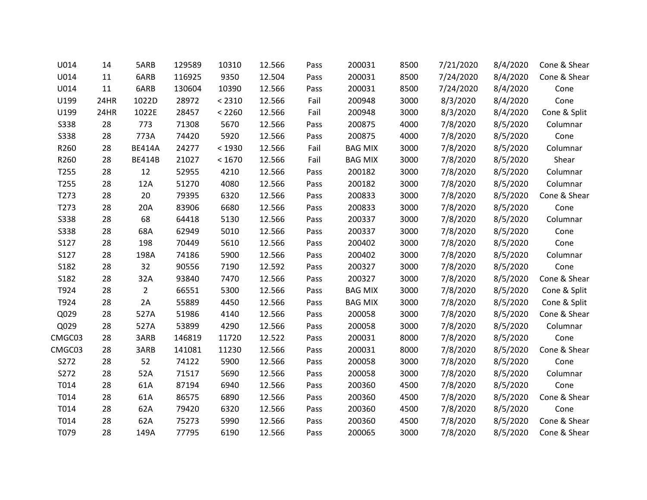| U014        | 14   | 5ARB           | 129589 | 10310  | 12.566 | Pass | 200031         | 8500 | 7/21/2020 | 8/4/2020 | Cone & Shear |
|-------------|------|----------------|--------|--------|--------|------|----------------|------|-----------|----------|--------------|
| U014        | 11   | 6ARB           | 116925 | 9350   | 12.504 | Pass | 200031         | 8500 | 7/24/2020 | 8/4/2020 | Cone & Shear |
| U014        | 11   | 6ARB           | 130604 | 10390  | 12.566 | Pass | 200031         | 8500 | 7/24/2020 | 8/4/2020 | Cone         |
| U199        | 24HR | 1022D          | 28972  | < 2310 | 12.566 | Fail | 200948         | 3000 | 8/3/2020  | 8/4/2020 | Cone         |
| U199        | 24HR | 1022E          | 28457  | < 2260 | 12.566 | Fail | 200948         | 3000 | 8/3/2020  | 8/4/2020 | Cone & Split |
| <b>S338</b> | 28   | 773            | 71308  | 5670   | 12.566 | Pass | 200875         | 4000 | 7/8/2020  | 8/5/2020 | Columnar     |
| <b>S338</b> | 28   | 773A           | 74420  | 5920   | 12.566 | Pass | 200875         | 4000 | 7/8/2020  | 8/5/2020 | Cone         |
| R260        | 28   | <b>BE414A</b>  | 24277  | < 1930 | 12.566 | Fail | <b>BAG MIX</b> | 3000 | 7/8/2020  | 8/5/2020 | Columnar     |
| R260        | 28   | <b>BE414B</b>  | 21027  | < 1670 | 12.566 | Fail | <b>BAG MIX</b> | 3000 | 7/8/2020  | 8/5/2020 | Shear        |
| T255        | 28   | 12             | 52955  | 4210   | 12.566 | Pass | 200182         | 3000 | 7/8/2020  | 8/5/2020 | Columnar     |
| T255        | 28   | 12A            | 51270  | 4080   | 12.566 | Pass | 200182         | 3000 | 7/8/2020  | 8/5/2020 | Columnar     |
| T273        | 28   | 20             | 79395  | 6320   | 12.566 | Pass | 200833         | 3000 | 7/8/2020  | 8/5/2020 | Cone & Shear |
| T273        | 28   | 20A            | 83906  | 6680   | 12.566 | Pass | 200833         | 3000 | 7/8/2020  | 8/5/2020 | Cone         |
| <b>S338</b> | 28   | 68             | 64418  | 5130   | 12.566 | Pass | 200337         | 3000 | 7/8/2020  | 8/5/2020 | Columnar     |
| <b>S338</b> | 28   | 68A            | 62949  | 5010   | 12.566 | Pass | 200337         | 3000 | 7/8/2020  | 8/5/2020 | Cone         |
| S127        | 28   | 198            | 70449  | 5610   | 12.566 | Pass | 200402         | 3000 | 7/8/2020  | 8/5/2020 | Cone         |
| S127        | 28   | 198A           | 74186  | 5900   | 12.566 | Pass | 200402         | 3000 | 7/8/2020  | 8/5/2020 | Columnar     |
| S182        | 28   | 32             | 90556  | 7190   | 12.592 | Pass | 200327         | 3000 | 7/8/2020  | 8/5/2020 | Cone         |
| S182        | 28   | 32A            | 93840  | 7470   | 12.566 | Pass | 200327         | 3000 | 7/8/2020  | 8/5/2020 | Cone & Shear |
| T924        | 28   | $\overline{2}$ | 66551  | 5300   | 12.566 | Pass | <b>BAG MIX</b> | 3000 | 7/8/2020  | 8/5/2020 | Cone & Split |
| T924        | 28   | 2A             | 55889  | 4450   | 12.566 | Pass | <b>BAG MIX</b> | 3000 | 7/8/2020  | 8/5/2020 | Cone & Split |
| Q029        | 28   | 527A           | 51986  | 4140   | 12.566 | Pass | 200058         | 3000 | 7/8/2020  | 8/5/2020 | Cone & Shear |
| Q029        | 28   | 527A           | 53899  | 4290   | 12.566 | Pass | 200058         | 3000 | 7/8/2020  | 8/5/2020 | Columnar     |
| CMGC03      | 28   | 3ARB           | 146819 | 11720  | 12.522 | Pass | 200031         | 8000 | 7/8/2020  | 8/5/2020 | Cone         |
| CMGC03      | 28   | 3ARB           | 141081 | 11230  | 12.566 | Pass | 200031         | 8000 | 7/8/2020  | 8/5/2020 | Cone & Shear |
| S272        | 28   | 52             | 74122  | 5900   | 12.566 | Pass | 200058         | 3000 | 7/8/2020  | 8/5/2020 | Cone         |
| S272        | 28   | 52A            | 71517  | 5690   | 12.566 | Pass | 200058         | 3000 | 7/8/2020  | 8/5/2020 | Columnar     |
| T014        | 28   | 61A            | 87194  | 6940   | 12.566 | Pass | 200360         | 4500 | 7/8/2020  | 8/5/2020 | Cone         |
| T014        | 28   | 61A            | 86575  | 6890   | 12.566 | Pass | 200360         | 4500 | 7/8/2020  | 8/5/2020 | Cone & Shear |
| T014        | 28   | 62A            | 79420  | 6320   | 12.566 | Pass | 200360         | 4500 | 7/8/2020  | 8/5/2020 | Cone         |
| T014        | 28   | 62A            | 75273  | 5990   | 12.566 | Pass | 200360         | 4500 | 7/8/2020  | 8/5/2020 | Cone & Shear |
| T079        | 28   | 149A           | 77795  | 6190   | 12.566 | Pass | 200065         | 3000 | 7/8/2020  | 8/5/2020 | Cone & Shear |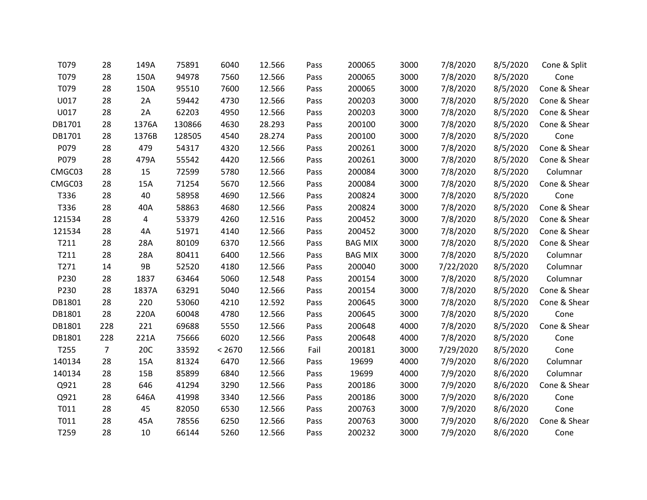| T079   | 28             | 149A  | 75891  | 6040   | 12.566 | Pass | 200065         | 3000 | 7/8/2020  | 8/5/2020 | Cone & Split |
|--------|----------------|-------|--------|--------|--------|------|----------------|------|-----------|----------|--------------|
| T079   | 28             | 150A  | 94978  | 7560   | 12.566 | Pass | 200065         | 3000 | 7/8/2020  | 8/5/2020 | Cone         |
| T079   | 28             | 150A  | 95510  | 7600   | 12.566 | Pass | 200065         | 3000 | 7/8/2020  | 8/5/2020 | Cone & Shear |
| U017   | 28             | 2A    | 59442  | 4730   | 12.566 | Pass | 200203         | 3000 | 7/8/2020  | 8/5/2020 | Cone & Shear |
| U017   | 28             | 2A    | 62203  | 4950   | 12.566 | Pass | 200203         | 3000 | 7/8/2020  | 8/5/2020 | Cone & Shear |
| DB1701 | 28             | 1376A | 130866 | 4630   | 28.293 | Pass | 200100         | 3000 | 7/8/2020  | 8/5/2020 | Cone & Shear |
| DB1701 | 28             | 1376B | 128505 | 4540   | 28.274 | Pass | 200100         | 3000 | 7/8/2020  | 8/5/2020 | Cone         |
| P079   | 28             | 479   | 54317  | 4320   | 12.566 | Pass | 200261         | 3000 | 7/8/2020  | 8/5/2020 | Cone & Shear |
| P079   | 28             | 479A  | 55542  | 4420   | 12.566 | Pass | 200261         | 3000 | 7/8/2020  | 8/5/2020 | Cone & Shear |
| CMGC03 | 28             | 15    | 72599  | 5780   | 12.566 | Pass | 200084         | 3000 | 7/8/2020  | 8/5/2020 | Columnar     |
| CMGC03 | 28             | 15A   | 71254  | 5670   | 12.566 | Pass | 200084         | 3000 | 7/8/2020  | 8/5/2020 | Cone & Shear |
| T336   | 28             | 40    | 58958  | 4690   | 12.566 | Pass | 200824         | 3000 | 7/8/2020  | 8/5/2020 | Cone         |
| T336   | 28             | 40A   | 58863  | 4680   | 12.566 | Pass | 200824         | 3000 | 7/8/2020  | 8/5/2020 | Cone & Shear |
| 121534 | 28             | 4     | 53379  | 4260   | 12.516 | Pass | 200452         | 3000 | 7/8/2020  | 8/5/2020 | Cone & Shear |
| 121534 | 28             | 4A    | 51971  | 4140   | 12.566 | Pass | 200452         | 3000 | 7/8/2020  | 8/5/2020 | Cone & Shear |
| T211   | 28             | 28A   | 80109  | 6370   | 12.566 | Pass | <b>BAG MIX</b> | 3000 | 7/8/2020  | 8/5/2020 | Cone & Shear |
| T211   | 28             | 28A   | 80411  | 6400   | 12.566 | Pass | <b>BAG MIX</b> | 3000 | 7/8/2020  | 8/5/2020 | Columnar     |
| T271   | 14             | 9B    | 52520  | 4180   | 12.566 | Pass | 200040         | 3000 | 7/22/2020 | 8/5/2020 | Columnar     |
| P230   | 28             | 1837  | 63464  | 5060   | 12.548 | Pass | 200154         | 3000 | 7/8/2020  | 8/5/2020 | Columnar     |
| P230   | 28             | 1837A | 63291  | 5040   | 12.566 | Pass | 200154         | 3000 | 7/8/2020  | 8/5/2020 | Cone & Shear |
| DB1801 | 28             | 220   | 53060  | 4210   | 12.592 | Pass | 200645         | 3000 | 7/8/2020  | 8/5/2020 | Cone & Shear |
| DB1801 | 28             | 220A  | 60048  | 4780   | 12.566 | Pass | 200645         | 3000 | 7/8/2020  | 8/5/2020 | Cone         |
| DB1801 | 228            | 221   | 69688  | 5550   | 12.566 | Pass | 200648         | 4000 | 7/8/2020  | 8/5/2020 | Cone & Shear |
| DB1801 | 228            | 221A  | 75666  | 6020   | 12.566 | Pass | 200648         | 4000 | 7/8/2020  | 8/5/2020 | Cone         |
| T255   | $\overline{7}$ | 20C   | 33592  | < 2670 | 12.566 | Fail | 200181         | 3000 | 7/29/2020 | 8/5/2020 | Cone         |
| 140134 | 28             | 15A   | 81324  | 6470   | 12.566 | Pass | 19699          | 4000 | 7/9/2020  | 8/6/2020 | Columnar     |
| 140134 | 28             | 15B   | 85899  | 6840   | 12.566 | Pass | 19699          | 4000 | 7/9/2020  | 8/6/2020 | Columnar     |
| Q921   | 28             | 646   | 41294  | 3290   | 12.566 | Pass | 200186         | 3000 | 7/9/2020  | 8/6/2020 | Cone & Shear |
| Q921   | 28             | 646A  | 41998  | 3340   | 12.566 | Pass | 200186         | 3000 | 7/9/2020  | 8/6/2020 | Cone         |
| T011   | 28             | 45    | 82050  | 6530   | 12.566 | Pass | 200763         | 3000 | 7/9/2020  | 8/6/2020 | Cone         |
| T011   | 28             | 45A   | 78556  | 6250   | 12.566 | Pass | 200763         | 3000 | 7/9/2020  | 8/6/2020 | Cone & Shear |
| T259   | 28             | 10    | 66144  | 5260   | 12.566 | Pass | 200232         | 3000 | 7/9/2020  | 8/6/2020 | Cone         |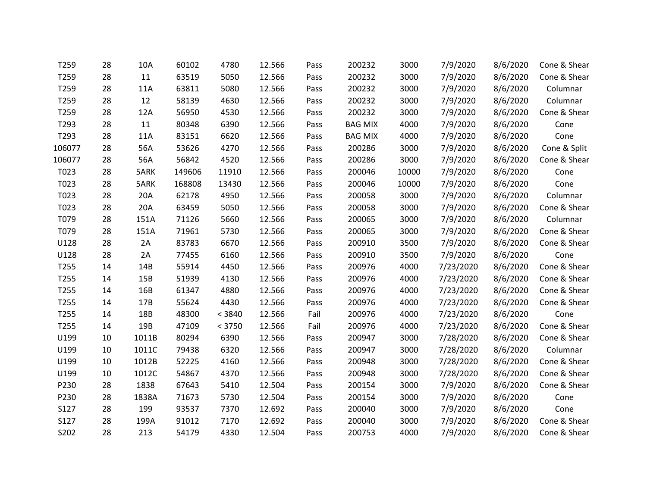| T259   | 28 | 10A   | 60102  | 4780   | 12.566 | Pass | 200232         | 3000  | 7/9/2020  | 8/6/2020 | Cone & Shear |
|--------|----|-------|--------|--------|--------|------|----------------|-------|-----------|----------|--------------|
| T259   | 28 | 11    | 63519  | 5050   | 12.566 | Pass | 200232         | 3000  | 7/9/2020  | 8/6/2020 | Cone & Shear |
| T259   | 28 | 11A   | 63811  | 5080   | 12.566 | Pass | 200232         | 3000  | 7/9/2020  | 8/6/2020 | Columnar     |
| T259   | 28 | 12    | 58139  | 4630   | 12.566 | Pass | 200232         | 3000  | 7/9/2020  | 8/6/2020 | Columnar     |
| T259   | 28 | 12A   | 56950  | 4530   | 12.566 | Pass | 200232         | 3000  | 7/9/2020  | 8/6/2020 | Cone & Shear |
| T293   | 28 | 11    | 80348  | 6390   | 12.566 | Pass | <b>BAG MIX</b> | 4000  | 7/9/2020  | 8/6/2020 | Cone         |
| T293   | 28 | 11A   | 83151  | 6620   | 12.566 | Pass | <b>BAG MIX</b> | 4000  | 7/9/2020  | 8/6/2020 | Cone         |
| 106077 | 28 | 56A   | 53626  | 4270   | 12.566 | Pass | 200286         | 3000  | 7/9/2020  | 8/6/2020 | Cone & Split |
| 106077 | 28 | 56A   | 56842  | 4520   | 12.566 | Pass | 200286         | 3000  | 7/9/2020  | 8/6/2020 | Cone & Shear |
| T023   | 28 | 5ARK  | 149606 | 11910  | 12.566 | Pass | 200046         | 10000 | 7/9/2020  | 8/6/2020 | Cone         |
| T023   | 28 | 5ARK  | 168808 | 13430  | 12.566 | Pass | 200046         | 10000 | 7/9/2020  | 8/6/2020 | Cone         |
| T023   | 28 | 20A   | 62178  | 4950   | 12.566 | Pass | 200058         | 3000  | 7/9/2020  | 8/6/2020 | Columnar     |
| T023   | 28 | 20A   | 63459  | 5050   | 12.566 | Pass | 200058         | 3000  | 7/9/2020  | 8/6/2020 | Cone & Shear |
| T079   | 28 | 151A  | 71126  | 5660   | 12.566 | Pass | 200065         | 3000  | 7/9/2020  | 8/6/2020 | Columnar     |
| T079   | 28 | 151A  | 71961  | 5730   | 12.566 | Pass | 200065         | 3000  | 7/9/2020  | 8/6/2020 | Cone & Shear |
| U128   | 28 | 2A    | 83783  | 6670   | 12.566 | Pass | 200910         | 3500  | 7/9/2020  | 8/6/2020 | Cone & Shear |
| U128   | 28 | 2A    | 77455  | 6160   | 12.566 | Pass | 200910         | 3500  | 7/9/2020  | 8/6/2020 | Cone         |
| T255   | 14 | 14B   | 55914  | 4450   | 12.566 | Pass | 200976         | 4000  | 7/23/2020 | 8/6/2020 | Cone & Shear |
| T255   | 14 | 15B   | 51939  | 4130   | 12.566 | Pass | 200976         | 4000  | 7/23/2020 | 8/6/2020 | Cone & Shear |
| T255   | 14 | 16B   | 61347  | 4880   | 12.566 | Pass | 200976         | 4000  | 7/23/2020 | 8/6/2020 | Cone & Shear |
| T255   | 14 | 17B   | 55624  | 4430   | 12.566 | Pass | 200976         | 4000  | 7/23/2020 | 8/6/2020 | Cone & Shear |
| T255   | 14 | 18B   | 48300  | < 3840 | 12.566 | Fail | 200976         | 4000  | 7/23/2020 | 8/6/2020 | Cone         |
| T255   | 14 | 19B   | 47109  | < 3750 | 12.566 | Fail | 200976         | 4000  | 7/23/2020 | 8/6/2020 | Cone & Shear |
| U199   | 10 | 1011B | 80294  | 6390   | 12.566 | Pass | 200947         | 3000  | 7/28/2020 | 8/6/2020 | Cone & Shear |
| U199   | 10 | 1011C | 79438  | 6320   | 12.566 | Pass | 200947         | 3000  | 7/28/2020 | 8/6/2020 | Columnar     |
| U199   | 10 | 1012B | 52225  | 4160   | 12.566 | Pass | 200948         | 3000  | 7/28/2020 | 8/6/2020 | Cone & Shear |
| U199   | 10 | 1012C | 54867  | 4370   | 12.566 | Pass | 200948         | 3000  | 7/28/2020 | 8/6/2020 | Cone & Shear |
| P230   | 28 | 1838  | 67643  | 5410   | 12.504 | Pass | 200154         | 3000  | 7/9/2020  | 8/6/2020 | Cone & Shear |
| P230   | 28 | 1838A | 71673  | 5730   | 12.504 | Pass | 200154         | 3000  | 7/9/2020  | 8/6/2020 | Cone         |
| S127   | 28 | 199   | 93537  | 7370   | 12.692 | Pass | 200040         | 3000  | 7/9/2020  | 8/6/2020 | Cone         |
| S127   | 28 | 199A  | 91012  | 7170   | 12.692 | Pass | 200040         | 3000  | 7/9/2020  | 8/6/2020 | Cone & Shear |
| S202   | 28 | 213   | 54179  | 4330   | 12.504 | Pass | 200753         | 4000  | 7/9/2020  | 8/6/2020 | Cone & Shear |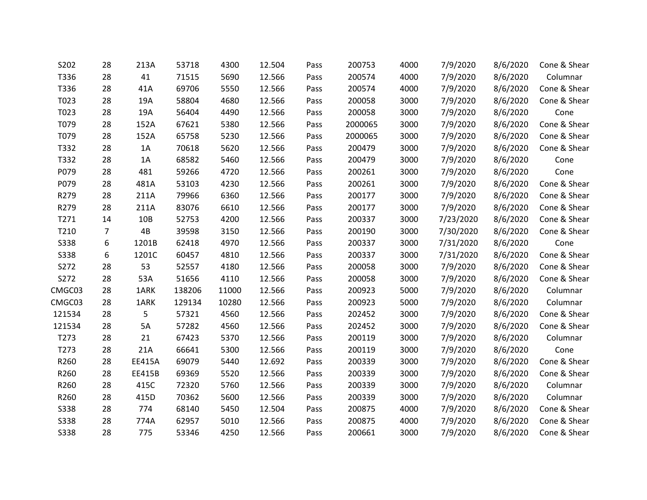| S202   | 28             | 213A          | 53718  | 4300  | 12.504 | Pass | 200753  | 4000 | 7/9/2020  | 8/6/2020 | Cone & Shear |
|--------|----------------|---------------|--------|-------|--------|------|---------|------|-----------|----------|--------------|
| T336   | 28             | 41            | 71515  | 5690  | 12.566 | Pass | 200574  | 4000 | 7/9/2020  | 8/6/2020 | Columnar     |
| T336   | 28             | 41A           | 69706  | 5550  | 12.566 | Pass | 200574  | 4000 | 7/9/2020  | 8/6/2020 | Cone & Shear |
| T023   | 28             | 19A           | 58804  | 4680  | 12.566 | Pass | 200058  | 3000 | 7/9/2020  | 8/6/2020 | Cone & Shear |
| T023   | 28             | 19A           | 56404  | 4490  | 12.566 | Pass | 200058  | 3000 | 7/9/2020  | 8/6/2020 | Cone         |
| T079   | 28             | 152A          | 67621  | 5380  | 12.566 | Pass | 2000065 | 3000 | 7/9/2020  | 8/6/2020 | Cone & Shear |
| T079   | 28             | 152A          | 65758  | 5230  | 12.566 | Pass | 2000065 | 3000 | 7/9/2020  | 8/6/2020 | Cone & Shear |
| T332   | 28             | 1A            | 70618  | 5620  | 12.566 | Pass | 200479  | 3000 | 7/9/2020  | 8/6/2020 | Cone & Shear |
| T332   | 28             | 1A            | 68582  | 5460  | 12.566 | Pass | 200479  | 3000 | 7/9/2020  | 8/6/2020 | Cone         |
| P079   | 28             | 481           | 59266  | 4720  | 12.566 | Pass | 200261  | 3000 | 7/9/2020  | 8/6/2020 | Cone         |
| P079   | 28             | 481A          | 53103  | 4230  | 12.566 | Pass | 200261  | 3000 | 7/9/2020  | 8/6/2020 | Cone & Shear |
| R279   | 28             | 211A          | 79966  | 6360  | 12.566 | Pass | 200177  | 3000 | 7/9/2020  | 8/6/2020 | Cone & Shear |
| R279   | 28             | 211A          | 83076  | 6610  | 12.566 | Pass | 200177  | 3000 | 7/9/2020  | 8/6/2020 | Cone & Shear |
| T271   | 14             | 10B           | 52753  | 4200  | 12.566 | Pass | 200337  | 3000 | 7/23/2020 | 8/6/2020 | Cone & Shear |
| T210   | $\overline{7}$ | 4B            | 39598  | 3150  | 12.566 | Pass | 200190  | 3000 | 7/30/2020 | 8/6/2020 | Cone & Shear |
| S338   | 6              | 1201B         | 62418  | 4970  | 12.566 | Pass | 200337  | 3000 | 7/31/2020 | 8/6/2020 | Cone         |
| S338   | 6              | 1201C         | 60457  | 4810  | 12.566 | Pass | 200337  | 3000 | 7/31/2020 | 8/6/2020 | Cone & Shear |
| S272   | 28             | 53            | 52557  | 4180  | 12.566 | Pass | 200058  | 3000 | 7/9/2020  | 8/6/2020 | Cone & Shear |
| S272   | 28             | 53A           | 51656  | 4110  | 12.566 | Pass | 200058  | 3000 | 7/9/2020  | 8/6/2020 | Cone & Shear |
| CMGC03 | 28             | 1ARK          | 138206 | 11000 | 12.566 | Pass | 200923  | 5000 | 7/9/2020  | 8/6/2020 | Columnar     |
| CMGC03 | 28             | 1ARK          | 129134 | 10280 | 12.566 | Pass | 200923  | 5000 | 7/9/2020  | 8/6/2020 | Columnar     |
| 121534 | 28             | 5             | 57321  | 4560  | 12.566 | Pass | 202452  | 3000 | 7/9/2020  | 8/6/2020 | Cone & Shear |
| 121534 | 28             | 5A            | 57282  | 4560  | 12.566 | Pass | 202452  | 3000 | 7/9/2020  | 8/6/2020 | Cone & Shear |
| T273   | 28             | 21            | 67423  | 5370  | 12.566 | Pass | 200119  | 3000 | 7/9/2020  | 8/6/2020 | Columnar     |
| T273   | 28             | 21A           | 66641  | 5300  | 12.566 | Pass | 200119  | 3000 | 7/9/2020  | 8/6/2020 | Cone         |
| R260   | 28             | <b>EE415A</b> | 69079  | 5440  | 12.692 | Pass | 200339  | 3000 | 7/9/2020  | 8/6/2020 | Cone & Shear |
| R260   | 28             | EE415B        | 69369  | 5520  | 12.566 | Pass | 200339  | 3000 | 7/9/2020  | 8/6/2020 | Cone & Shear |
| R260   | 28             | 415C          | 72320  | 5760  | 12.566 | Pass | 200339  | 3000 | 7/9/2020  | 8/6/2020 | Columnar     |
| R260   | 28             | 415D          | 70362  | 5600  | 12.566 | Pass | 200339  | 3000 | 7/9/2020  | 8/6/2020 | Columnar     |
| S338   | 28             | 774           | 68140  | 5450  | 12.504 | Pass | 200875  | 4000 | 7/9/2020  | 8/6/2020 | Cone & Shear |
| S338   | 28             | 774A          | 62957  | 5010  | 12.566 | Pass | 200875  | 4000 | 7/9/2020  | 8/6/2020 | Cone & Shear |
| S338   | 28             | 775           | 53346  | 4250  | 12.566 | Pass | 200661  | 3000 | 7/9/2020  | 8/6/2020 | Cone & Shear |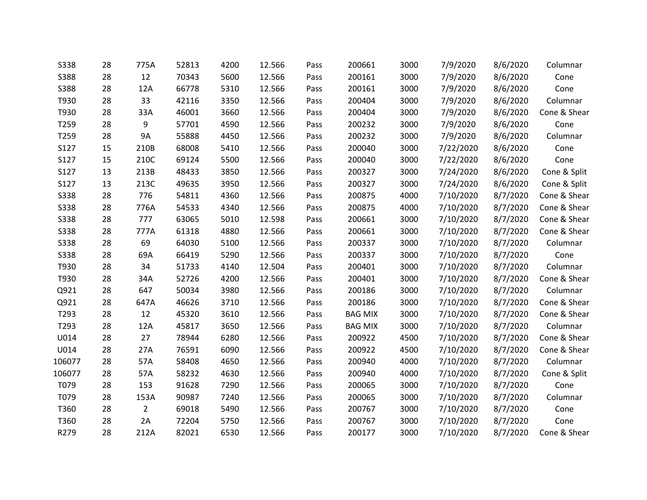| <b>S338</b> | 28 | 775A           | 52813 | 4200 | 12.566 | Pass | 200661         | 3000 | 7/9/2020  | 8/6/2020 | Columnar     |
|-------------|----|----------------|-------|------|--------|------|----------------|------|-----------|----------|--------------|
| S388        | 28 | 12             | 70343 | 5600 | 12.566 | Pass | 200161         | 3000 | 7/9/2020  | 8/6/2020 | Cone         |
| <b>S388</b> | 28 | 12A            | 66778 | 5310 | 12.566 | Pass | 200161         | 3000 | 7/9/2020  | 8/6/2020 | Cone         |
| T930        | 28 | 33             | 42116 | 3350 | 12.566 | Pass | 200404         | 3000 | 7/9/2020  | 8/6/2020 | Columnar     |
| T930        | 28 | 33A            | 46001 | 3660 | 12.566 | Pass | 200404         | 3000 | 7/9/2020  | 8/6/2020 | Cone & Shear |
| T259        | 28 | 9              | 57701 | 4590 | 12.566 | Pass | 200232         | 3000 | 7/9/2020  | 8/6/2020 | Cone         |
| T259        | 28 | <b>9A</b>      | 55888 | 4450 | 12.566 | Pass | 200232         | 3000 | 7/9/2020  | 8/6/2020 | Columnar     |
| S127        | 15 | 210B           | 68008 | 5410 | 12.566 | Pass | 200040         | 3000 | 7/22/2020 | 8/6/2020 | Cone         |
| S127        | 15 | 210C           | 69124 | 5500 | 12.566 | Pass | 200040         | 3000 | 7/22/2020 | 8/6/2020 | Cone         |
| S127        | 13 | 213B           | 48433 | 3850 | 12.566 | Pass | 200327         | 3000 | 7/24/2020 | 8/6/2020 | Cone & Split |
| S127        | 13 | 213C           | 49635 | 3950 | 12.566 | Pass | 200327         | 3000 | 7/24/2020 | 8/6/2020 | Cone & Split |
| S338        | 28 | 776            | 54811 | 4360 | 12.566 | Pass | 200875         | 4000 | 7/10/2020 | 8/7/2020 | Cone & Shear |
| S338        | 28 | 776A           | 54533 | 4340 | 12.566 | Pass | 200875         | 4000 | 7/10/2020 | 8/7/2020 | Cone & Shear |
| <b>S338</b> | 28 | 777            | 63065 | 5010 | 12.598 | Pass | 200661         | 3000 | 7/10/2020 | 8/7/2020 | Cone & Shear |
| S338        | 28 | 777A           | 61318 | 4880 | 12.566 | Pass | 200661         | 3000 | 7/10/2020 | 8/7/2020 | Cone & Shear |
| <b>S338</b> | 28 | 69             | 64030 | 5100 | 12.566 | Pass | 200337         | 3000 | 7/10/2020 | 8/7/2020 | Columnar     |
| <b>S338</b> | 28 | 69A            | 66419 | 5290 | 12.566 | Pass | 200337         | 3000 | 7/10/2020 | 8/7/2020 | Cone         |
| T930        | 28 | 34             | 51733 | 4140 | 12.504 | Pass | 200401         | 3000 | 7/10/2020 | 8/7/2020 | Columnar     |
| T930        | 28 | 34A            | 52726 | 4200 | 12.566 | Pass | 200401         | 3000 | 7/10/2020 | 8/7/2020 | Cone & Shear |
| Q921        | 28 | 647            | 50034 | 3980 | 12.566 | Pass | 200186         | 3000 | 7/10/2020 | 8/7/2020 | Columnar     |
| Q921        | 28 | 647A           | 46626 | 3710 | 12.566 | Pass | 200186         | 3000 | 7/10/2020 | 8/7/2020 | Cone & Shear |
| T293        | 28 | 12             | 45320 | 3610 | 12.566 | Pass | <b>BAG MIX</b> | 3000 | 7/10/2020 | 8/7/2020 | Cone & Shear |
| T293        | 28 | 12A            | 45817 | 3650 | 12.566 | Pass | <b>BAG MIX</b> | 3000 | 7/10/2020 | 8/7/2020 | Columnar     |
| U014        | 28 | 27             | 78944 | 6280 | 12.566 | Pass | 200922         | 4500 | 7/10/2020 | 8/7/2020 | Cone & Shear |
| U014        | 28 | 27A            | 76591 | 6090 | 12.566 | Pass | 200922         | 4500 | 7/10/2020 | 8/7/2020 | Cone & Shear |
| 106077      | 28 | 57A            | 58408 | 4650 | 12.566 | Pass | 200940         | 4000 | 7/10/2020 | 8/7/2020 | Columnar     |
| 106077      | 28 | 57A            | 58232 | 4630 | 12.566 | Pass | 200940         | 4000 | 7/10/2020 | 8/7/2020 | Cone & Split |
| T079        | 28 | 153            | 91628 | 7290 | 12.566 | Pass | 200065         | 3000 | 7/10/2020 | 8/7/2020 | Cone         |
| T079        | 28 | 153A           | 90987 | 7240 | 12.566 | Pass | 200065         | 3000 | 7/10/2020 | 8/7/2020 | Columnar     |
| T360        | 28 | $\overline{2}$ | 69018 | 5490 | 12.566 | Pass | 200767         | 3000 | 7/10/2020 | 8/7/2020 | Cone         |
| T360        | 28 | 2A             | 72204 | 5750 | 12.566 | Pass | 200767         | 3000 | 7/10/2020 | 8/7/2020 | Cone         |
| R279        | 28 | 212A           | 82021 | 6530 | 12.566 | Pass | 200177         | 3000 | 7/10/2020 | 8/7/2020 | Cone & Shear |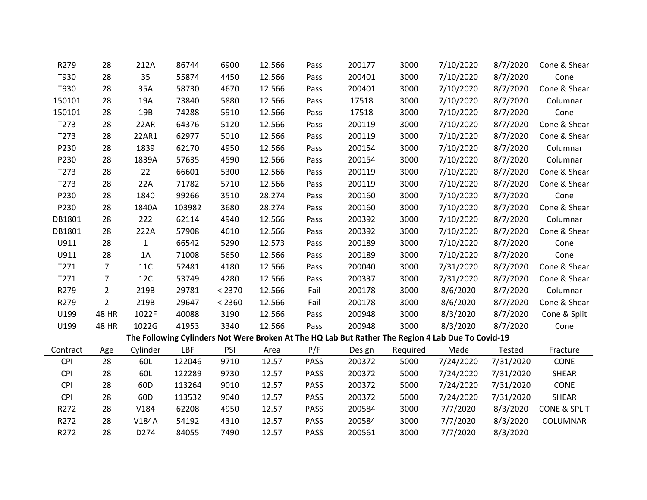| R279             | 28             | 212A            | 86744  | 6900   | 12.566 | Pass        | 200177 | 3000     | 7/10/2020                                                                                         | 8/7/2020  | Cone & Shear            |
|------------------|----------------|-----------------|--------|--------|--------|-------------|--------|----------|---------------------------------------------------------------------------------------------------|-----------|-------------------------|
| T930             | 28             | 35              | 55874  | 4450   | 12.566 | Pass        | 200401 | 3000     | 7/10/2020                                                                                         | 8/7/2020  | Cone                    |
| T930             | 28             | 35A             | 58730  | 4670   | 12.566 | Pass        | 200401 | 3000     | 7/10/2020                                                                                         | 8/7/2020  | Cone & Shear            |
| 150101           | 28             | 19A             | 73840  | 5880   | 12.566 | Pass        | 17518  | 3000     | 7/10/2020                                                                                         | 8/7/2020  | Columnar                |
| 150101           | 28             | 19B             | 74288  | 5910   | 12.566 | Pass        | 17518  | 3000     | 7/10/2020                                                                                         | 8/7/2020  | Cone                    |
| T273             | 28             | 22AR            | 64376  | 5120   | 12.566 | Pass        | 200119 | 3000     | 7/10/2020                                                                                         | 8/7/2020  | Cone & Shear            |
| T273             | 28             | 22AR1           | 62977  | 5010   | 12.566 | Pass        | 200119 | 3000     | 7/10/2020                                                                                         | 8/7/2020  | Cone & Shear            |
| P230             | 28             | 1839            | 62170  | 4950   | 12.566 | Pass        | 200154 | 3000     | 7/10/2020                                                                                         | 8/7/2020  | Columnar                |
| P230             | 28             | 1839A           | 57635  | 4590   | 12.566 | Pass        | 200154 | 3000     | 7/10/2020                                                                                         | 8/7/2020  | Columnar                |
| T <sub>273</sub> | 28             | 22              | 66601  | 5300   | 12.566 | Pass        | 200119 | 3000     | 7/10/2020                                                                                         | 8/7/2020  | Cone & Shear            |
| T273             | 28             | 22A             | 71782  | 5710   | 12.566 | Pass        | 200119 | 3000     | 7/10/2020                                                                                         | 8/7/2020  | Cone & Shear            |
| P230             | 28             | 1840            | 99266  | 3510   | 28.274 | Pass        | 200160 | 3000     | 7/10/2020                                                                                         | 8/7/2020  | Cone                    |
| P230             | 28             | 1840A           | 103982 | 3680   | 28.274 | Pass        | 200160 | 3000     | 7/10/2020                                                                                         | 8/7/2020  | Cone & Shear            |
| DB1801           | 28             | 222             | 62114  | 4940   | 12.566 | Pass        | 200392 | 3000     | 7/10/2020                                                                                         | 8/7/2020  | Columnar                |
| DB1801           | 28             | 222A            | 57908  | 4610   | 12.566 | Pass        | 200392 | 3000     | 7/10/2020                                                                                         | 8/7/2020  | Cone & Shear            |
| U911             | 28             | $\mathbf{1}$    | 66542  | 5290   | 12.573 | Pass        | 200189 | 3000     | 7/10/2020                                                                                         | 8/7/2020  | Cone                    |
| U911             | 28             | 1A              | 71008  | 5650   | 12.566 | Pass        | 200189 | 3000     | 7/10/2020                                                                                         | 8/7/2020  | Cone                    |
| T271             | $\overline{7}$ | 11C             | 52481  | 4180   | 12.566 | Pass        | 200040 | 3000     | 7/31/2020                                                                                         | 8/7/2020  | Cone & Shear            |
| T271             | $\overline{7}$ | <b>12C</b>      | 53749  | 4280   | 12.566 | Pass        | 200337 | 3000     | 7/31/2020                                                                                         | 8/7/2020  | Cone & Shear            |
| R279             | $\overline{2}$ | 219B            | 29781  | < 2370 | 12.566 | Fail        | 200178 | 3000     | 8/6/2020                                                                                          | 8/7/2020  | Columnar                |
| R279             | $\overline{2}$ | 219B            | 29647  | < 2360 | 12.566 | Fail        | 200178 | 3000     | 8/6/2020                                                                                          | 8/7/2020  | Cone & Shear            |
| U199             | 48 HR          | 1022F           | 40088  | 3190   | 12.566 | Pass        | 200948 | 3000     | 8/3/2020                                                                                          | 8/7/2020  | Cone & Split            |
| U199             | 48 HR          | 1022G           | 41953  | 3340   | 12.566 | Pass        | 200948 | 3000     | 8/3/2020                                                                                          | 8/7/2020  | Cone                    |
|                  |                |                 |        |        |        |             |        |          | The Following Cylinders Not Were Broken At The HQ Lab But Rather The Region 4 Lab Due To Covid-19 |           |                         |
| Contract         | Age            | Cylinder        | LBF    | PSI    | Area   | P/F         | Design | Required | Made                                                                                              | Tested    | Fracture                |
| <b>CPI</b>       | 28             | 60L             | 122046 | 9710   | 12.57  | <b>PASS</b> | 200372 | 5000     | 7/24/2020                                                                                         | 7/31/2020 | CONE                    |
| <b>CPI</b>       | 28             | 60L             | 122289 | 9730   | 12.57  | PASS        | 200372 | 5000     | 7/24/2020                                                                                         | 7/31/2020 | SHEAR                   |
| <b>CPI</b>       | 28             | 60D             | 113264 | 9010   | 12.57  | <b>PASS</b> | 200372 | 5000     | 7/24/2020                                                                                         | 7/31/2020 | CONE                    |
| <b>CPI</b>       | 28             | 60 <sub>D</sub> | 113532 | 9040   | 12.57  | <b>PASS</b> | 200372 | 5000     | 7/24/2020                                                                                         | 7/31/2020 | SHEAR                   |
| R272             | 28             | V184            | 62208  | 4950   | 12.57  | PASS        | 200584 | 3000     | 7/7/2020                                                                                          | 8/3/2020  | <b>CONE &amp; SPLIT</b> |
| R272             | 28             | V184A           | 54192  | 4310   | 12.57  | PASS        | 200584 | 3000     | 7/7/2020                                                                                          | 8/3/2020  | COLUMNAR                |
| R272             | 28             | D274            | 84055  | 7490   | 12.57  | <b>PASS</b> | 200561 | 3000     | 7/7/2020                                                                                          | 8/3/2020  |                         |
|                  |                |                 |        |        |        |             |        |          |                                                                                                   |           |                         |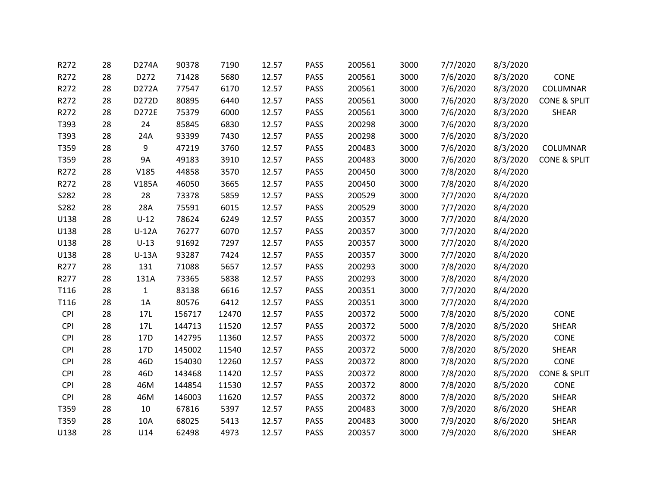| R272       | 28 | D274A        | 90378  | 7190  | 12.57 | <b>PASS</b> | 200561 | 3000 | 7/7/2020 | 8/3/2020 |                         |
|------------|----|--------------|--------|-------|-------|-------------|--------|------|----------|----------|-------------------------|
| R272       | 28 | D272         | 71428  | 5680  | 12.57 | <b>PASS</b> | 200561 | 3000 | 7/6/2020 | 8/3/2020 | CONE                    |
| R272       | 28 | D272A        | 77547  | 6170  | 12.57 | <b>PASS</b> | 200561 | 3000 | 7/6/2020 | 8/3/2020 | COLUMNAR                |
| R272       | 28 | D272D        | 80895  | 6440  | 12.57 | <b>PASS</b> | 200561 | 3000 | 7/6/2020 | 8/3/2020 | <b>CONE &amp; SPLIT</b> |
| R272       | 28 | D272E        | 75379  | 6000  | 12.57 | <b>PASS</b> | 200561 | 3000 | 7/6/2020 | 8/3/2020 | SHEAR                   |
| T393       | 28 | 24           | 85845  | 6830  | 12.57 | <b>PASS</b> | 200298 | 3000 | 7/6/2020 | 8/3/2020 |                         |
| T393       | 28 | 24A          | 93399  | 7430  | 12.57 | <b>PASS</b> | 200298 | 3000 | 7/6/2020 | 8/3/2020 |                         |
| T359       | 28 | 9            | 47219  | 3760  | 12.57 | PASS        | 200483 | 3000 | 7/6/2020 | 8/3/2020 | COLUMNAR                |
| T359       | 28 | <b>9A</b>    | 49183  | 3910  | 12.57 | <b>PASS</b> | 200483 | 3000 | 7/6/2020 | 8/3/2020 | <b>CONE &amp; SPLIT</b> |
| R272       | 28 | V185         | 44858  | 3570  | 12.57 | PASS        | 200450 | 3000 | 7/8/2020 | 8/4/2020 |                         |
| R272       | 28 | V185A        | 46050  | 3665  | 12.57 | <b>PASS</b> | 200450 | 3000 | 7/8/2020 | 8/4/2020 |                         |
| S282       | 28 | 28           | 73378  | 5859  | 12.57 | PASS        | 200529 | 3000 | 7/7/2020 | 8/4/2020 |                         |
| S282       | 28 | 28A          | 75591  | 6015  | 12.57 | PASS        | 200529 | 3000 | 7/7/2020 | 8/4/2020 |                         |
| U138       | 28 | $U-12$       | 78624  | 6249  | 12.57 | PASS        | 200357 | 3000 | 7/7/2020 | 8/4/2020 |                         |
| U138       | 28 | $U-12A$      | 76277  | 6070  | 12.57 | PASS        | 200357 | 3000 | 7/7/2020 | 8/4/2020 |                         |
| U138       | 28 | $U-13$       | 91692  | 7297  | 12.57 | PASS        | 200357 | 3000 | 7/7/2020 | 8/4/2020 |                         |
| U138       | 28 | $U-13A$      | 93287  | 7424  | 12.57 | <b>PASS</b> | 200357 | 3000 | 7/7/2020 | 8/4/2020 |                         |
| R277       | 28 | 131          | 71088  | 5657  | 12.57 | PASS        | 200293 | 3000 | 7/8/2020 | 8/4/2020 |                         |
| R277       | 28 | 131A         | 73365  | 5838  | 12.57 | <b>PASS</b> | 200293 | 3000 | 7/8/2020 | 8/4/2020 |                         |
| T116       | 28 | $\mathbf{1}$ | 83138  | 6616  | 12.57 | PASS        | 200351 | 3000 | 7/7/2020 | 8/4/2020 |                         |
| T116       | 28 | 1A           | 80576  | 6412  | 12.57 | PASS        | 200351 | 3000 | 7/7/2020 | 8/4/2020 |                         |
| <b>CPI</b> | 28 | 17L          | 156717 | 12470 | 12.57 | PASS        | 200372 | 5000 | 7/8/2020 | 8/5/2020 | CONE                    |
| <b>CPI</b> | 28 | 17L          | 144713 | 11520 | 12.57 | PASS        | 200372 | 5000 | 7/8/2020 | 8/5/2020 | SHEAR                   |
| CPI        | 28 | 17D          | 142795 | 11360 | 12.57 | PASS        | 200372 | 5000 | 7/8/2020 | 8/5/2020 | CONE                    |
| <b>CPI</b> | 28 | 17D          | 145002 | 11540 | 12.57 | <b>PASS</b> | 200372 | 5000 | 7/8/2020 | 8/5/2020 | <b>SHEAR</b>            |
| <b>CPI</b> | 28 | 46D          | 154030 | 12260 | 12.57 | <b>PASS</b> | 200372 | 8000 | 7/8/2020 | 8/5/2020 | CONE                    |
| <b>CPI</b> | 28 | 46D          | 143468 | 11420 | 12.57 | <b>PASS</b> | 200372 | 8000 | 7/8/2020 | 8/5/2020 | <b>CONE &amp; SPLIT</b> |
| <b>CPI</b> | 28 | 46M          | 144854 | 11530 | 12.57 | PASS        | 200372 | 8000 | 7/8/2020 | 8/5/2020 | CONE                    |
| <b>CPI</b> | 28 | 46M          | 146003 | 11620 | 12.57 | PASS        | 200372 | 8000 | 7/8/2020 | 8/5/2020 | SHEAR                   |
| T359       | 28 | 10           | 67816  | 5397  | 12.57 | PASS        | 200483 | 3000 | 7/9/2020 | 8/6/2020 | SHEAR                   |
| T359       | 28 | 10A          | 68025  | 5413  | 12.57 | <b>PASS</b> | 200483 | 3000 | 7/9/2020 | 8/6/2020 | <b>SHEAR</b>            |
| U138       | 28 | U14          | 62498  | 4973  | 12.57 | <b>PASS</b> | 200357 | 3000 | 7/9/2020 | 8/6/2020 | <b>SHEAR</b>            |